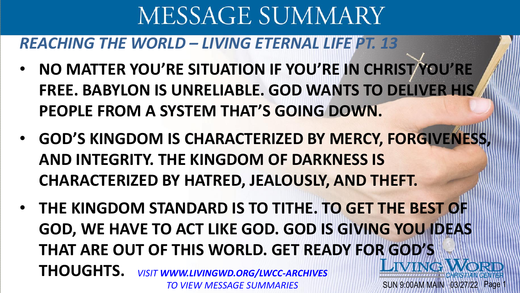### *REACHING THE WORLD – LIVING ETERNAL LIFE PT. 13*

- **NO MATTER YOU'RE SITUATION IF YOU'RE IN CHRIST YOU'RE FREE. BABYLON IS UNRELIABLE. GOD WANTS TO DELIVER HIS PEOPLE FROM A SYSTEM THAT'S GOING DOWN.**
- **GOD'S KINGDOM IS CHARACTERIZED BY MERCY, FORGIVENESS, AND INTEGRITY. THE KINGDOM OF DARKNESS IS CHARACTERIZED BY HATRED, JEALOUSLY, AND THEFT.**
- **THE KINGDOM STANDARD IS TO TITHE. TO GET THE BEST OF GOD, WE HAVE TO ACT LIKE GOD. GOD IS GIVING YOU IDEAS THAT ARE OUT OF THIS WORLD. GET READY FOR GOD'S THOUGHTS.** SUN 9:00AM MAIN 03/27/22 *VISIT WWW.LIVINGWD.ORG/LWCC-ARCHIVES TO VIEW MESSAGE SUMMARIES*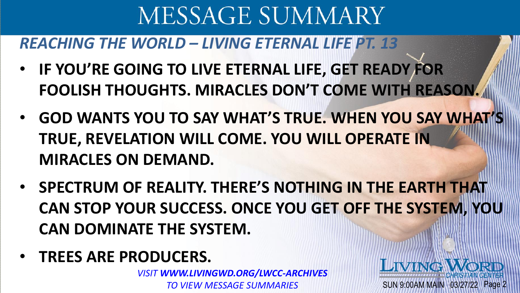### *REACHING THE WORLD – LIVING ETERNAL LIFE PT. 13*

- **IF YOU'RE GOING TO LIVE ETERNAL LIFE, GET READY FOR FOOLISH THOUGHTS. MIRACLES DON'T COME WITH REASON.**
- **GOD WANTS YOU TO SAY WHAT'S TRUE. WHEN YOU SAY WHAT'S TRUE, REVELATION WILL COME. YOU WILL OPERATE IN MIRACLES ON DEMAND.**
- **SPECTRUM OF REALITY. THERE'S NOTHING IN THE EARTH THAT CAN STOP YOUR SUCCESS. ONCE YOU GET OFF THE SYSTEM, YOU CAN DOMINATE THE SYSTEM.**

SUN 9:00AM MAIN 03/27/22 Page 2

LIVING

• **TREES ARE PRODUCERS.**

*VISIT WWW.LIVINGWD.ORG/LWCC-ARCHIVES TO VIEW MESSAGE SUMMARIES*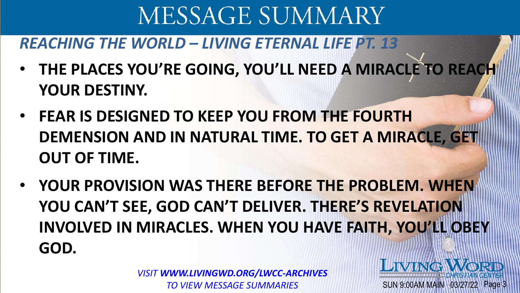*REACHING THE WORLD – LIVING ETERNAL LIFE PT. 13*

- **THE PLACES YOU'RE GOING, YOU'LL NEED A MIRACLE TO REACH YOUR DESTINY.**
- **FEAR IS DESIGNED TO KEEP YOU FROM THE FOURTH DEMENSION AND IN NATURAL TIME. TO GET A MIRACLE, GET OUT OF TIME.**
- **YOUR PROVISION WAS THERE BEFORE THE PROBLEM. WHEN YOU CAN'T SEE, GOD CAN'T DELIVER. THERE'S REVELATION INVOLVED IN MIRACLES. WHEN YOU HAVE FAITH, YOU'LL OBEY GOD.**

*VISIT WWW.LIVINGWD.ORG/LWCC-ARCHIVES TO VIEW MESSAGE SUMMARIES*